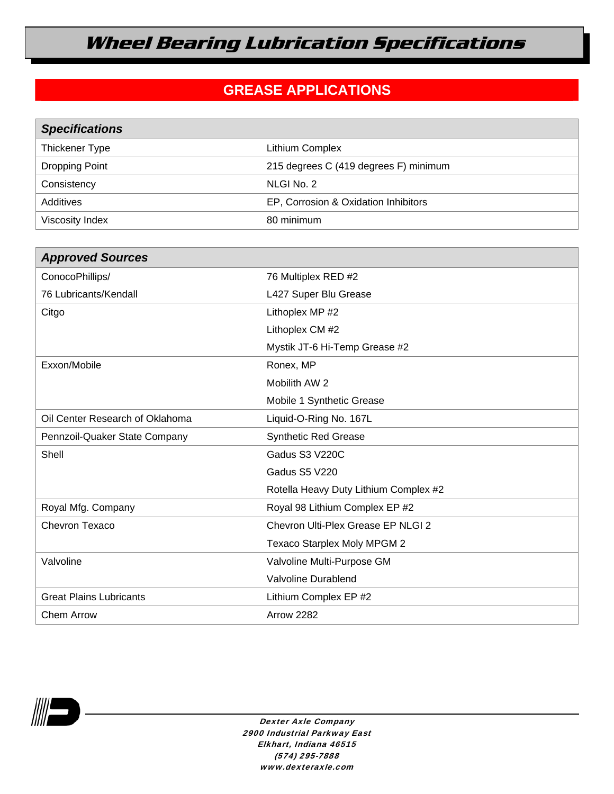# **Wheel Bearing Lubrication Specifications**

### **GREASE APPLICATIONS**

| <b>Specifications</b> |                                       |
|-----------------------|---------------------------------------|
| Thickener Type        | Lithium Complex                       |
| <b>Dropping Point</b> | 215 degrees C (419 degrees F) minimum |
| Consistency           | NLGI No. 2                            |
| Additives             | EP, Corrosion & Oxidation Inhibitors  |
| Viscosity Index       | 80 minimum                            |

| <b>Approved Sources</b>         |                                       |
|---------------------------------|---------------------------------------|
| ConocoPhillips/                 | 76 Multiplex RED #2                   |
| 76 Lubricants/Kendall           | L427 Super Blu Grease                 |
| Citgo                           | Lithoplex MP #2                       |
|                                 | Lithoplex CM #2                       |
|                                 | Mystik JT-6 Hi-Temp Grease #2         |
| Exxon/Mobile                    | Ronex, MP                             |
|                                 | Mobilith AW 2                         |
|                                 | Mobile 1 Synthetic Grease             |
| Oil Center Research of Oklahoma | Liquid-O-Ring No. 167L                |
| Pennzoil-Quaker State Company   | <b>Synthetic Red Grease</b>           |
| Shell                           | Gadus S3 V220C                        |
|                                 | <b>Gadus S5 V220</b>                  |
|                                 | Rotella Heavy Duty Lithium Complex #2 |
| Royal Mfg. Company              | Royal 98 Lithium Complex EP #2        |
| Chevron Texaco                  | Chevron Ulti-Plex Grease EP NLGI 2    |
|                                 | Texaco Starplex Moly MPGM 2           |
| Valvoline                       | Valvoline Multi-Purpose GM            |
|                                 | Valvoline Durablend                   |
| <b>Great Plains Lubricants</b>  | Lithium Complex EP #2                 |
| <b>Chem Arrow</b>               | <b>Arrow 2282</b>                     |



Dexter Axle Company 2900 Industrial Parkway East Elkhart, Indiana 46515 (574) 295-7888 www.dexteraxle.com